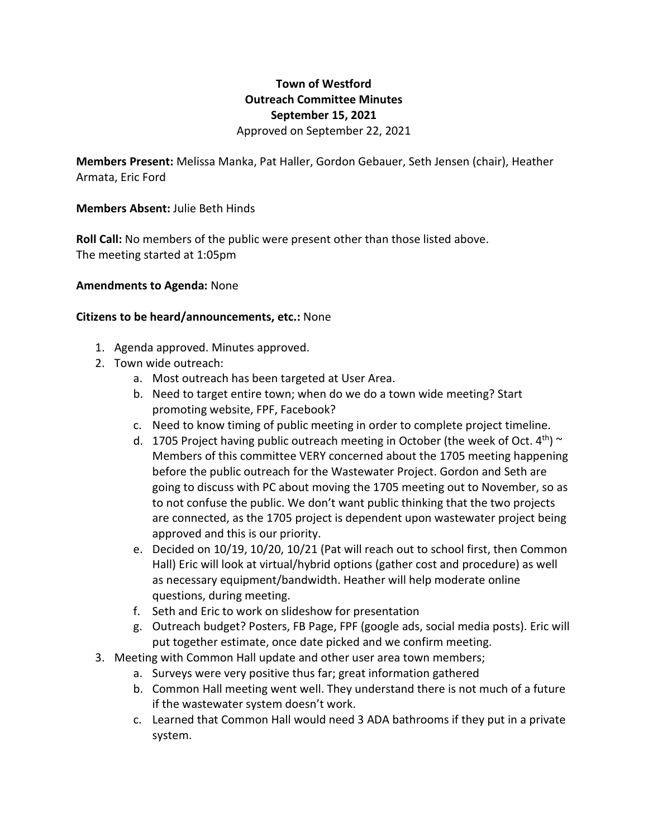## **Town of Westford Outreach Committee Minutes September 15, 2021** Approved on September 22, 2021

**Members Present:** Melissa Manka, Pat Haller, Gordon Gebauer, Seth Jensen (chair), Heather Armata, Eric Ford

## **Members Absent:** Julie Beth Hinds

**Roll Call:** No members of the public were present other than those listed above. The meeting started at 1:05pm

## **Amendments to Agenda:** None

## **Citizens to be heard/announcements, etc.:** None

- 1. Agenda approved. Minutes approved.
- 2. Town wide outreach:
	- a. Most outreach has been targeted at User Area.
	- b. Need to target entire town; when do we do a town wide meeting? Start promoting website, FPF, Facebook?
	- c. Need to know timing of public meeting in order to complete project timeline.
	- d. 1705 Project having public outreach meeting in October (the week of Oct.  $4^{th}$ ) ~ Members of this committee VERY concerned about the 1705 meeting happening before the public outreach for the Wastewater Project. Gordon and Seth are going to discuss with PC about moving the 1705 meeting out to November, so as to not confuse the public. We don't want public thinking that the two projects are connected, as the 1705 project is dependent upon wastewater project being approved and this is our priority.
	- e. Decided on 10/19, 10/20, 10/21 (Pat will reach out to school first, then Common Hall) Eric will look at virtual/hybrid options (gather cost and procedure) as well as necessary equipment/bandwidth. Heather will help moderate online questions, during meeting.
	- f. Seth and Eric to work on slideshow for presentation
	- g. Outreach budget? Posters, FB Page, FPF (google ads, social media posts). Eric will put together estimate, once date picked and we confirm meeting.
- 3. Meeting with Common Hall update and other user area town members;
	- a. Surveys were very positive thus far; great information gathered
	- b. Common Hall meeting went well. They understand there is not much of a future if the wastewater system doesn't work.
	- c. Learned that Common Hall would need 3 ADA bathrooms if they put in a private system.